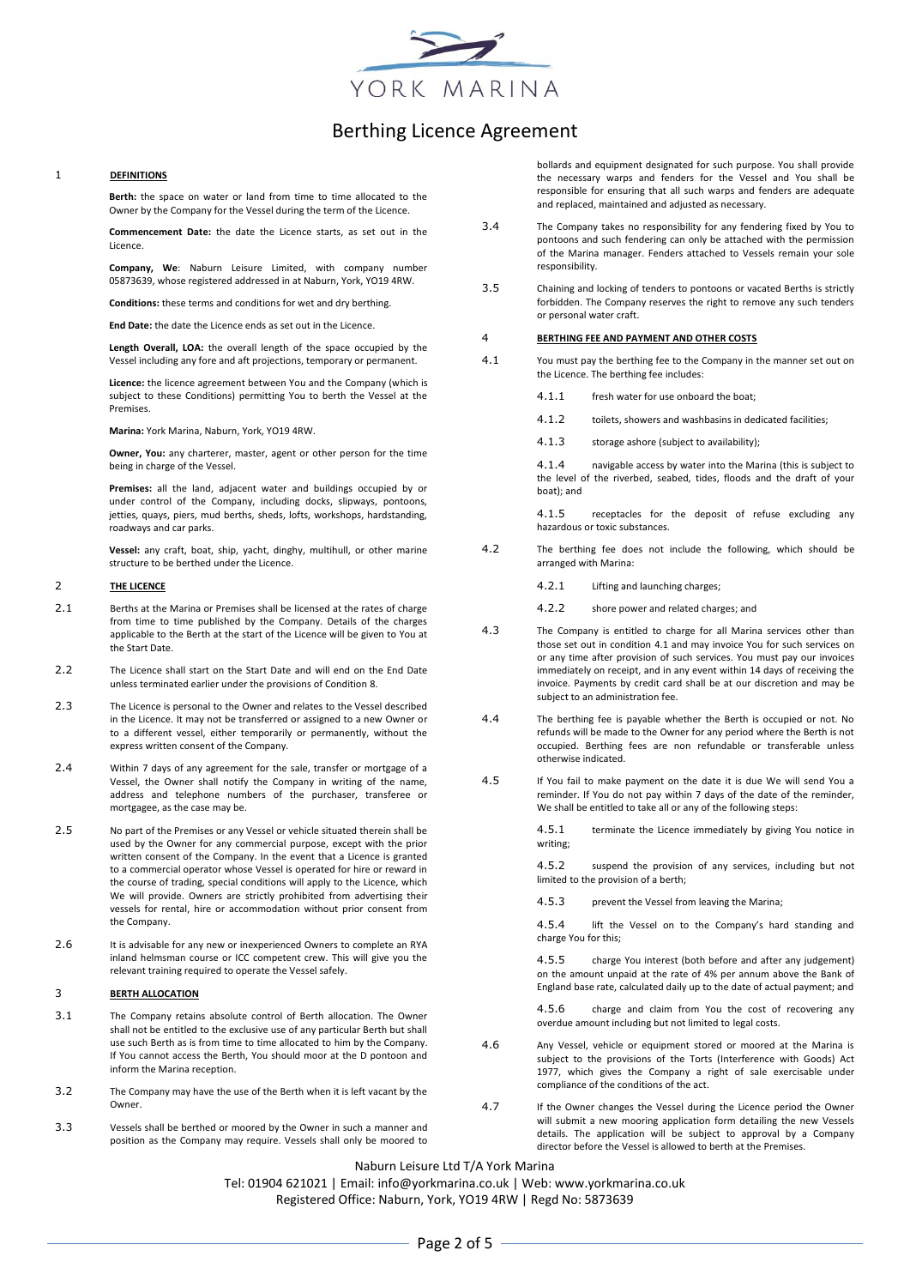

### 1 **DEFINITIONS**

**Berth:** the space on water or land from time to time allocated to the Owner by the Company for the Vessel during the term of the Licence.

**Commencement Date:** the date the Licence starts, as set out in the Licence.

**Company, We**: Naburn Leisure Limited, with company number 05873639, whose registered addressed in at Naburn, York, YO19 4RW.

**Conditions:** these terms and conditions for wet and dry berthing.

**End Date:** the date the Licence ends as set out in the Licence.

**Length Overall, LOA:** the overall length of the space occupied by the Vessel including any fore and aft projections, temporary or permanent.

**Licence:** the licence agreement between You and the Company (which is subject to these Conditions) permitting You to berth the Vessel at the Premises.

**Marina:** York Marina, Naburn, York, YO19 4RW.

**Owner, You:** any charterer, master, agent or other person for the time being in charge of the Vessel.

**Premises:** all the land, adjacent water and buildings occupied by or under control of the Company, including docks, slipways, pontoons, jetties, quays, piers, mud berths, sheds, lofts, workshops, hardstanding, roadways and car parks.

**Vessel:** any craft, boat, ship, yacht, dinghy, multihull, or other marine structure to be berthed under the Licence.

#### 2 **THE LICENCE**

- 2.1 Berths at the Marina or Premises shall be licensed at the rates of charge from time to time published by the Company. Details of the charges applicable to the Berth at the start of the Licence will be given to You at the Start Date.
- 2.2 The Licence shall start on the Start Date and will end on the End Date unless terminated earlier under the provisions of Condition 8.
- 2.3 The Licence is personal to the Owner and relates to the Vessel described in the Licence. It may not be transferred or assigned to a new Owner or to a different vessel, either temporarily or permanently, without the express written consent of the Company.
- 2.4 Within 7 days of any agreement for the sale, transfer or mortgage of a Vessel, the Owner shall notify the Company in writing of the name, address and telephone numbers of the purchaser, transferee or mortgagee, as the case may be.
- 2.5 No part of the Premises or any Vessel or vehicle situated therein shall be used by the Owner for any commercial purpose, except with the prior written consent of the Company. In the event that a Licence is granted to a commercial operator whose Vessel is operated for hire or reward in the course of trading, special conditions will apply to the Licence, which We will provide. Owners are strictly prohibited from advertising their vessels for rental, hire or accommodation without prior consent from the Company.
- 2.6 It is advisable for any new or inexperienced Owners to complete an RYA inland helmsman course or ICC competent crew. This will give you the relevant training required to operate the Vessel safely.

#### 3 **BERTH ALLOCATION**

- 3.1 The Company retains absolute control of Berth allocation. The Owner shall not be entitled to the exclusive use of any particular Berth but shall use such Berth as is from time to time allocated to him by the Company. If You cannot access the Berth, You should moor at the D pontoon and inform the Marina reception.
- 3.2 The Company may have the use of the Berth when it is left vacant by the Owner.
- 3.3 Vessels shall be berthed or moored by the Owner in such a manner and position as the Company may require. Vessels shall only be moored to

bollards and equipment designated for such purpose. You shall provide the necessary warps and fenders for the Vessel and You shall be responsible for ensuring that all such warps and fenders are adequate and replaced, maintained and adjusted as necessary.

- 3.4 The Company takes no responsibility for any fendering fixed by You to pontoons and such fendering can only be attached with the permission of the Marina manager. Fenders attached to Vessels remain your sole responsibility.
- 3.5 Chaining and locking of tenders to pontoons or vacated Berths is strictly forbidden. The Company reserves the right to remove any such tenders or personal water craft.

#### 4 **BERTHING FEE AND PAYMENT AND OTHER COSTS**

- <span id="page-0-0"></span>4.1 You must pay the berthing fee to the Company in the manner set out on the Licence. The berthing fee includes:
	- 4.1.1 fresh water for use onboard the boat;
	- 4.1.2 toilets, showers and washbasins in dedicated facilities;
	- 4.1.3 storage ashore (subject to availability);

4.1.4 navigable access by water into the Marina (this is subject to the level of the riverbed, seabed, tides, floods and the draft of your boat); and

4.1.5 receptacles for the deposit of refuse excluding any hazardous or toxic substances.

- 4.2 The berthing fee does not include the following, which should be arranged with Marina:
	- 4.2.1 Lifting and launching charges;
	- 4.2.2 shore power and related charges; and
- 4.3 The Company is entitled to charge for all Marina services other than those set out in conditio[n 4.1 a](#page-0-0)nd may invoice You for such services on or any time after provision of such services. You must pay our invoices immediately on receipt, and in any event within 14 days of receiving the invoice. Payments by credit card shall be at our discretion and may be subject to an administration fee.
- 4.4 The berthing fee is payable whether the Berth is occupied or not. No refunds will be made to the Owner for any period where the Berth is not occupied. Berthing fees are non refundable or transferable unless otherwise indicated.
- 4.5 If You fail to make payment on the date it is due We will send You a reminder. If You do not pay within 7 days of the date of the reminder, We shall be entitled to take all or any of the following steps:

4.5.1 terminate the Licence immediately by giving You notice in writing;

4.5.2 suspend the provision of any services, including but not limited to the provision of a berth;

4.5.3 prevent the Vessel from leaving the Marina;

4.5.4 lift the Vessel on to the Company's hard standing and charge You for this;

4.5.5 charge You interest (both before and after any judgement) on the amount unpaid at the rate of 4% per annum above the Bank of England base rate, calculated daily up to the date of actual payment; and

4.5.6 charge and claim from You the cost of recovering any overdue amount including but not limited to legal costs.

- 4.6 Any Vessel, vehicle or equipment stored or moored at the Marina is subject to the provisions of the Torts (Interference with Goods) Act 1977, which gives the Company a right of sale exercisable under compliance of the conditions of the act.
- 4.7 If the Owner changes the Vessel during the Licence period the Owner will submit a new mooring application form detailing the new Vessels details. The application will be subject to approval by a Company director before the Vessel is allowed to berth at the Premises.

Naburn Leisure Ltd T/A York Marina

Tel: 01904 621021 | Email: info@yorkmarina.co.uk | Web: www.yorkmarina.co.uk Registered Office: Naburn, York, YO19 4RW | Regd No: 5873639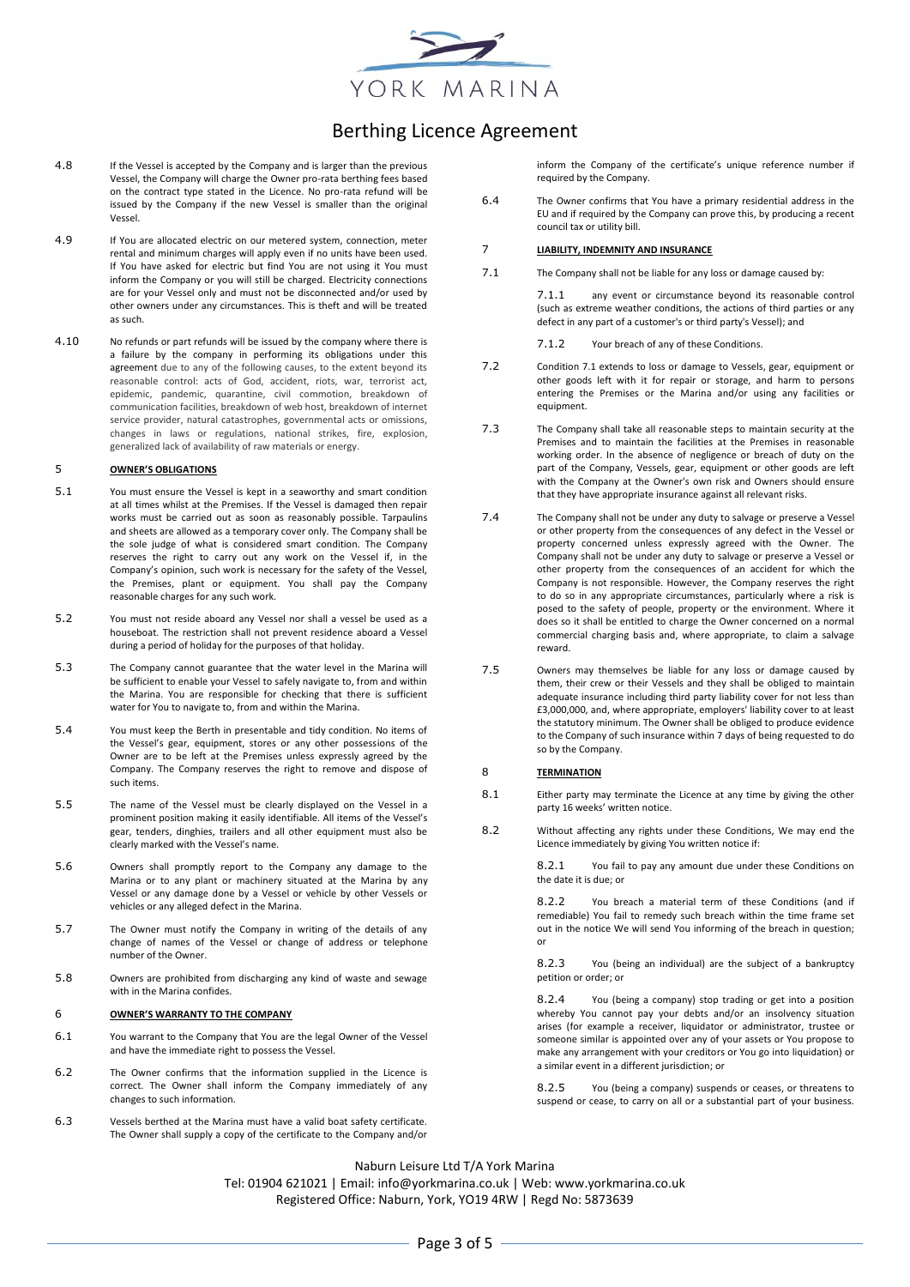

- 4.8 If the Vessel is accepted by the Company and is larger than the previous Vessel, the Company will charge the Owner pro-rata berthing fees based on the contract type stated in the Licence. No pro-rata refund will be issued by the Company if the new Vessel is smaller than the original Vessel.
- 4.9 If You are allocated electric on our metered system, connection, meter rental and minimum charges will apply even if no units have been used. If You have asked for electric but find You are not using it You must inform the Company or you will still be charged. Electricity connections are for your Vessel only and must not be disconnected and/or used by other owners under any circumstances. This is theft and will be treated as such.
- 4.10 No refunds or part refunds will be issued by the company where there is a failure by the company in performing its obligations under this agreement due to any of the following causes, to the extent beyond its reasonable control: acts of God, accident, riots, war, terrorist act, epidemic, pandemic, quarantine, civil commotion, breakdown of communication facilities, breakdown of web host, breakdown of internet service provider, natural catastrophes, governmental acts or omissions, changes in laws or regulations, national strikes, fire, explosion, generalized lack of availability of raw materials or energy.

#### 5 **OWNER'S OBLIGATIONS**

- 5.1 You must ensure the Vessel is kept in a seaworthy and smart condition at all times whilst at the Premises. If the Vessel is damaged then repair works must be carried out as soon as reasonably possible. Tarpaulins and sheets are allowed as a temporary cover only. The Company shall be the sole judge of what is considered smart condition. The Company reserves the right to carry out any work on the Vessel if, in the Company's opinion, such work is necessary for the safety of the Vessel, the Premises, plant or equipment. You shall pay the Company reasonable charges for any such work.
- 5.2 You must not reside aboard any Vessel nor shall a vessel be used as a houseboat. The restriction shall not prevent residence aboard a Vessel during a period of holiday for the purposes of that holiday.
- 5.3 The Company cannot guarantee that the water level in the Marina will be sufficient to enable your Vessel to safely navigate to, from and within the Marina. You are responsible for checking that there is sufficient water for You to navigate to, from and within the Marina.
- 5.4 You must keep the Berth in presentable and tidy condition. No items of the Vessel's gear, equipment, stores or any other possessions of the Owner are to be left at the Premises unless expressly agreed by the Company. The Company reserves the right to remove and dispose of such items.
- 5.5 The name of the Vessel must be clearly displayed on the Vessel in a prominent position making it easily identifiable. All items of the Vessel's gear, tenders, dinghies, trailers and all other equipment must also be clearly marked with the Vessel's name.
- 5.6 Owners shall promptly report to the Company any damage to the Marina or to any plant or machinery situated at the Marina by any Vessel or any damage done by a Vessel or vehicle by other Vessels or vehicles or any alleged defect in the Marina.
- 5.7 The Owner must notify the Company in writing of the details of any change of names of the Vessel or change of address or telephone number of the Owner.
- 5.8 Owners are prohibited from discharging any kind of waste and sewage with in the Marina confides.

#### 6 **OWNER'S WARRANTY TO THE COMPANY**

- 6.1 You warrant to the Company that You are the legal Owner of the Vessel and have the immediate right to possess the Vessel.
- 6.2 The Owner confirms that the information supplied in the Licence is correct. The Owner shall inform the Company immediately of any changes to such information.
- 6.3 Vessels berthed at the Marina must have a valid boat safety certificate. The Owner shall supply a copy of the certificate to the Company and/or

inform the Company of the certificate's unique reference number if required by the Company.

6.4 The Owner confirms that You have a primary residential address in the EU and if required by the Company can prove this, by producing a recent council tax or utility bill.

#### 7 **LIABILITY, INDEMNITY AND INSURANCE**

<span id="page-1-0"></span>7.1 The Company shall not be liable for any loss or damage caused by:

7.1.1 any event or circumstance beyond its reasonable control (such as extreme weather conditions, the actions of third parties or any defect in any part of a customer's or third party's Vessel); and

7.1.2 Your breach of any of these Conditions.

- 7.2 Conditio[n 7.1](#page-1-0) extends to loss or damage to Vessels, gear, equipment or other goods left with it for repair or storage, and harm to persons entering the Premises or the Marina and/or using any facilities or equipment.
- 7.3 The Company shall take all reasonable steps to maintain security at the Premises and to maintain the facilities at the Premises in reasonable working order. In the absence of negligence or breach of duty on the part of the Company, Vessels, gear, equipment or other goods are left with the Company at the Owner's own risk and Owners should ensure that they have appropriate insurance against all relevant risks.
- 7.4 The Company shall not be under any duty to salvage or preserve a Vessel or other property from the consequences of any defect in the Vessel or property concerned unless expressly agreed with the Owner. The Company shall not be under any duty to salvage or preserve a Vessel or other property from the consequences of an accident for which the Company is not responsible. However, the Company reserves the right to do so in any appropriate circumstances, particularly where a risk is posed to the safety of people, property or the environment. Where it does so it shall be entitled to charge the Owner concerned on a normal commercial charging basis and, where appropriate, to claim a salvage reward.
- 7.5 Owners may themselves be liable for any loss or damage caused by them, their crew or their Vessels and they shall be obliged to maintain adequate insurance including third party liability cover for not less than £3,000,000, and, where appropriate, employers' liability cover to at least the statutory minimum. The Owner shall be obliged to produce evidence to the Company of such insurance within 7 days of being requested to do so by the Company.

#### 8 **TERMINATION**

- 8.1 Either party may terminate the Licence at any time by giving the other party 16 weeks' written notice.
- 8.2 Without affecting any rights under these Conditions, We may end the Licence immediately by giving You written notice if:

8.2.1 You fail to pay any amount due under these Conditions on the date it is due; or

8.2.2 You breach a material term of these Conditions (and if remediable) You fail to remedy such breach within the time frame set out in the notice We will send You informing of the breach in question; or

8.2.3 You (being an individual) are the subject of a bankruptcy petition or order; or

8.2.4 You (being a company) stop trading or get into a position whereby You cannot pay your debts and/or an insolvency situation arises (for example a receiver, liquidator or administrator, trustee or someone similar is appointed over any of your assets or You propose to make any arrangement with your creditors or You go into liquidation) or a similar event in a different jurisdiction; or

8.2.5 You (being a company) suspends or ceases, or threatens to suspend or cease, to carry on all or a substantial part of your business.

Naburn Leisure Ltd T/A York Marina

Tel: 01904 621021 | Email: info@yorkmarina.co.uk | Web: www.yorkmarina.co.uk Registered Office: Naburn, York, YO19 4RW | Regd No: 5873639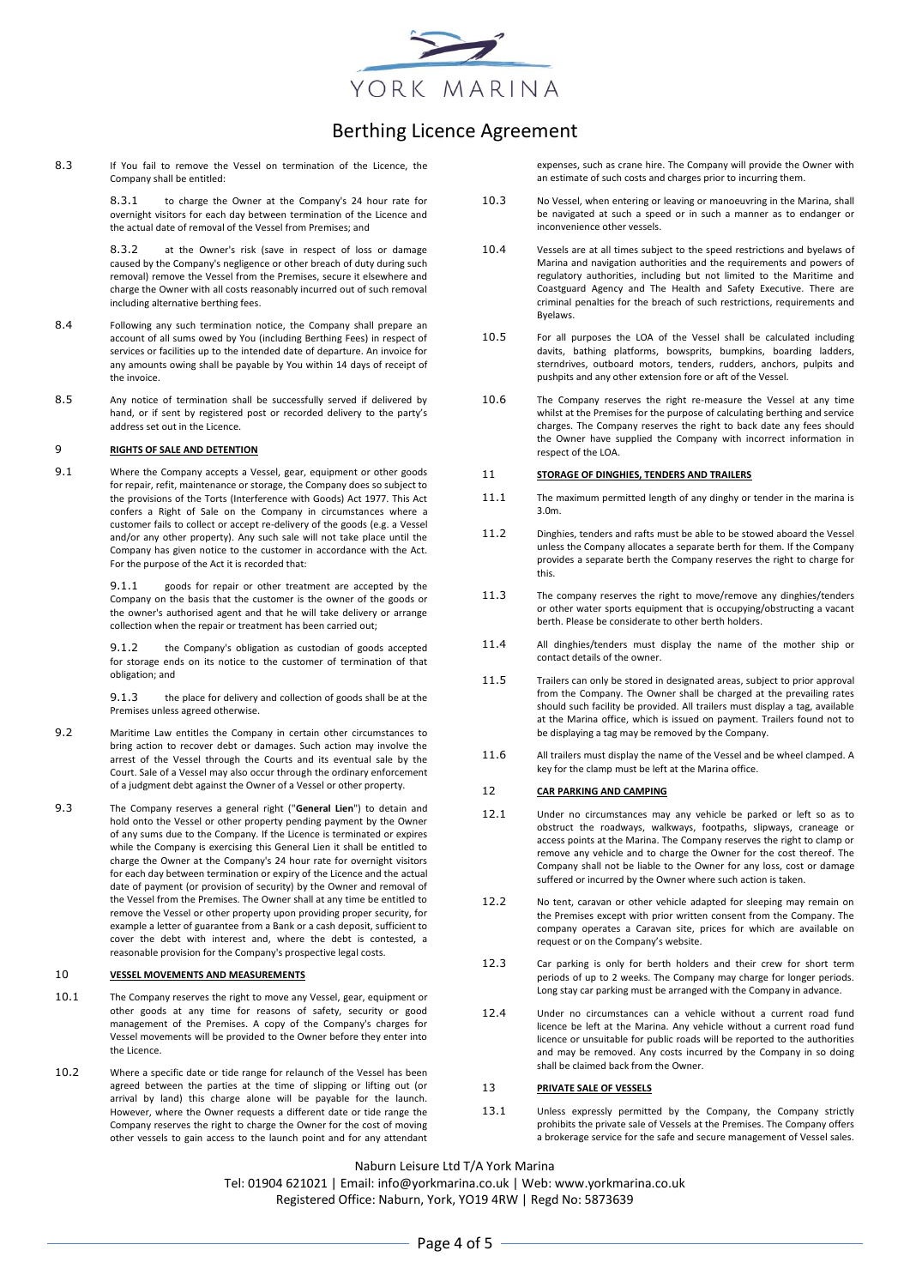

8.3 If You fail to remove the Vessel on termination of the Licence, the Company shall be entitled:

> 8.3.1 to charge the Owner at the Company's 24 hour rate for overnight visitors for each day between termination of the Licence and the actual date of removal of the Vessel from Premises; and

8.3.2 at the Owner's risk (save in respect of loss or damage caused by the Company's negligence or other breach of duty during such removal) remove the Vessel from the Premises, secure it elsewhere and charge the Owner with all costs reasonably incurred out of such removal including alternative berthing fees.

- 8.4 Following any such termination notice, the Company shall prepare an account of all sums owed by You (including Berthing Fees) in respect of services or facilities up to the intended date of departure. An invoice for any amounts owing shall be payable by You within 14 days of receipt of the invoice.
- 8.5 Any notice of termination shall be successfully served if delivered by hand, or if sent by registered post or recorded delivery to the party's address set out in the Licence.

#### 9 **RIGHTS OF SALE AND DETENTION**

9.1 Where the Company accepts a Vessel, gear, equipment or other goods for repair, refit, maintenance or storage, the Company does so subject to the provisions of the Torts (Interference with Goods) Act 1977. This Act confers a Right of Sale on the Company in circumstances where a customer fails to collect or accept re-delivery of the goods (e.g. a Vessel and/or any other property). Any such sale will not take place until the Company has given notice to the customer in accordance with the Act. For the purpose of the Act it is recorded that:

> 9.1.1 goods for repair or other treatment are accepted by the Company on the basis that the customer is the owner of the goods or the owner's authorised agent and that he will take delivery or arrange collection when the repair or treatment has been carried out;

> 9.1.2 the Company's obligation as custodian of goods accepted for storage ends on its notice to the customer of termination of that obligation; and

> 9.1.3 the place for delivery and collection of goods shall be at the Premises unless agreed otherwise.

- 9.2 Maritime Law entitles the Company in certain other circumstances to bring action to recover debt or damages. Such action may involve the arrest of the Vessel through the Courts and its eventual sale by the Court. Sale of a Vessel may also occur through the ordinary enforcement of a judgment debt against the Owner of a Vessel or other property.
- 9.3 The Company reserves a general right ("**General Lien**") to detain and hold onto the Vessel or other property pending payment by the Owner of any sums due to the Company. If the Licence is terminated or expires while the Company is exercising this General Lien it shall be entitled to charge the Owner at the Company's 24 hour rate for overnight visitors for each day between termination or expiry of the Licence and the actual date of payment (or provision of security) by the Owner and removal of the Vessel from the Premises. The Owner shall at any time be entitled to remove the Vessel or other property upon providing proper security, for example a letter of guarantee from a Bank or a cash deposit, sufficient to cover the debt with interest and, where the debt is contested, a reasonable provision for the Company's prospective legal costs.

### 10 **VESSEL MOVEMENTS AND MEASUREMENTS**

- 10.1 The Company reserves the right to move any Vessel, gear, equipment or other goods at any time for reasons of safety, security or good management of the Premises. A copy of the Company's charges for Vessel movements will be provided to the Owner before they enter into the Licence.
- 10.2 Where a specific date or tide range for relaunch of the Vessel has been agreed between the parties at the time of slipping or lifting out (or arrival by land) this charge alone will be payable for the launch. However, where the Owner requests a different date or tide range the Company reserves the right to charge the Owner for the cost of moving other vessels to gain access to the launch point and for any attendant

expenses, such as crane hire. The Company will provide the Owner with an estimate of such costs and charges prior to incurring them.

- 10.3 No Vessel, when entering or leaving or manoeuvring in the Marina, shall be navigated at such a speed or in such a manner as to endanger or inconvenience other vessels.
- 10.4 Vessels are at all times subject to the speed restrictions and byelaws of Marina and navigation authorities and the requirements and powers of regulatory authorities, including but not limited to the Maritime and Coastguard Agency and The Health and Safety Executive. There are criminal penalties for the breach of such restrictions, requirements and Byelaws.
- 10.5 For all purposes the LOA of the Vessel shall be calculated including davits, bathing platforms, bowsprits, bumpkins, boarding ladders, sterndrives, outboard motors, tenders, rudders, anchors, pulpits and pushpits and any other extension fore or aft of the Vessel.
- 10.6 The Company reserves the right re-measure the Vessel at any time whilst at the Premises for the purpose of calculating berthing and service charges. The Company reserves the right to back date any fees should the Owner have supplied the Company with incorrect information in respect of the LOA.

### 11 **STORAGE OF DINGHIES, TENDERS AND TRAILERS**

- 11.1 The maximum permitted length of any dinghy or tender in the marina is 3.0m.
- 11.2 Dinghies, tenders and rafts must be able to be stowed aboard the Vessel unless the Company allocates a separate berth for them. If the Company provides a separate berth the Company reserves the right to charge for this.
- 11.3 The company reserves the right to move/remove any dinghies/tenders or other water sports equipment that is occupying/obstructing a vacant berth. Please be considerate to other berth holders.
- 11.4 All dinghies/tenders must display the name of the mother ship or contact details of the owner.
- 11.5 Trailers can only be stored in designated areas, subject to prior approval from the Company. The Owner shall be charged at the prevailing rates should such facility be provided. All trailers must display a tag, available at the Marina office, which is issued on payment. Trailers found not to be displaying a tag may be removed by the Company.
- 11.6 All trailers must display the name of the Vessel and be wheel clamped. A key for the clamp must be left at the Marina office.

### 12 **CAR PARKING AND CAMPING**

- 12.1 Under no circumstances may any vehicle be parked or left so as to obstruct the roadways, walkways, footpaths, slipways, craneage or access points at the Marina. The Company reserves the right to clamp or remove any vehicle and to charge the Owner for the cost thereof. The Company shall not be liable to the Owner for any loss, cost or damage suffered or incurred by the Owner where such action is taken.
- 12.2 No tent, caravan or other vehicle adapted for sleeping may remain on the Premises except with prior written consent from the Company. The company operates a Caravan site, prices for which are available on request or on the Company's website.
- 12.3 Car parking is only for berth holders and their crew for short term periods of up to 2 weeks. The Company may charge for longer periods. Long stay car parking must be arranged with the Company in advance.
- 12.4 Under no circumstances can a vehicle without a current road fund licence be left at the Marina. Any vehicle without a current road fund licence or unsuitable for public roads will be reported to the authorities and may be removed. Any costs incurred by the Company in so doing shall be claimed back from the Owner.

#### 13 **PRIVATE SALE OF VESSELS**

13.1 Unless expressly permitted by the Company, the Company strictly prohibits the private sale of Vessels at the Premises. The Company offers a brokerage service for the safe and secure management of Vessel sales.

Naburn Leisure Ltd T/A York Marina

Tel: 01904 621021 | Email: info@yorkmarina.co.uk | Web: www.yorkmarina.co.uk Registered Office: Naburn, York, YO19 4RW | Regd No: 5873639